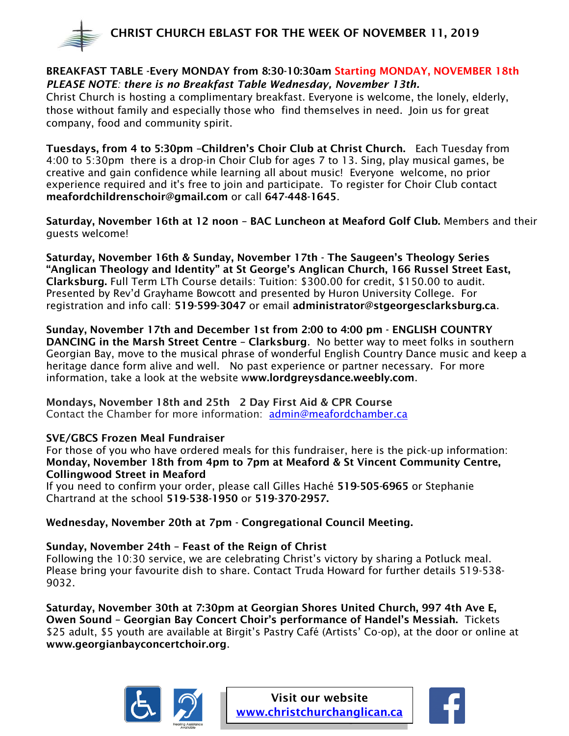

## BREAKFAST TABLE -Every MONDAY from 8:30-10:30am Starting MONDAY, NOVEMBER 18th *PLEASE NOTE: there is no Breakfast Table Wednesday, November 13th.*

Christ Church is hosting a complimentary breakfast. Everyone is welcome, the lonely, elderly, those without family and especially those who find themselves in need. Join us for great company, food and community spirit.

Tuesdays, from 4 to 5:30pm –Children's Choir Club at Christ Church. Each Tuesday from 4:00 to 5:30pm there is a drop-in Choir Club for ages 7 to 13. Sing, play musical games, be creative and gain confidence while learning all about music! Everyone welcome, no prior experience required and it's free to join and participate. To register for Choir Club contact meafordchildrenschoir@gmail.com or call 647-448-1645.

Saturday, November 16th at 12 noon – BAC Luncheon at Meaford Golf Club. Members and their guests welcome!

Saturday, November 16th & Sunday, November 17th - The Saugeen's Theology Series "Anglican Theology and Identity" at St George's Anglican Church, 166 Russel Street East, Clarksburg. Full Term LTh Course details: Tuition: \$300.00 for credit, \$150.00 to audit. Presented by Rev'd Grayhame Bowcott and presented by Huron University College. For registration and info call: 519-599-3047 or email [administrator@stgeorgesclarksburg.ca](mailto:administrator@stgeorgesclarksburg.ca).

Sunday, November 17th and December 1st from 2:00 to 4:00 pm - ENGLISH COUNTRY DANCING in the Marsh Street Centre – Clarksburg. No better way to meet folks in southern Georgian Bay, move to the musical phrase of wonderful English Country Dance music and keep a heritage dance form alive and well. No past experience or partner necessary. For more information, take a look at the website www.lordgreysdance.weebly.com.

Mondays, November 18th and 25th 2 Day First Aid & CPR Course Contact the Chamber for more information: [admin@meafordchamber.ca](mailto:admin@meafordchamber.ca)

## SVE/GBCS Frozen Meal Fundraiser

For those of you who have ordered meals for this fundraiser, here is the pick-up information: Monday, November 18th from 4pm to 7pm at Meaford & St Vincent Community Centre, Collingwood Street in Meaford

If you need to confirm your order, please call Gilles Haché 519-505-6965 or Stephanie Chartrand at the school 519-538-1950 or 519-370-2957.

# Wednesday, November 20th at 7pm - Congregational Council Meeting.

## Sunday, November 24th – Feast of the Reign of Christ

Following the 10:30 service, we are celebrating Christ's victory by sharing a Potluck meal. Please bring your favourite dish to share. Contact Truda Howard for further details 519-538- 9032.

Saturday, November 30th at 7:30pm at Georgian Shores United Church, 997 4th Ave E, Owen Sound – Georgian Bay Concert Choir's performance of Handel's Messiah. Tickets \$25 adult, \$5 youth are available at Birgit's Pastry Café (Artists' Co-op), at the door or online at www.georgianbayconcertchoir.org.